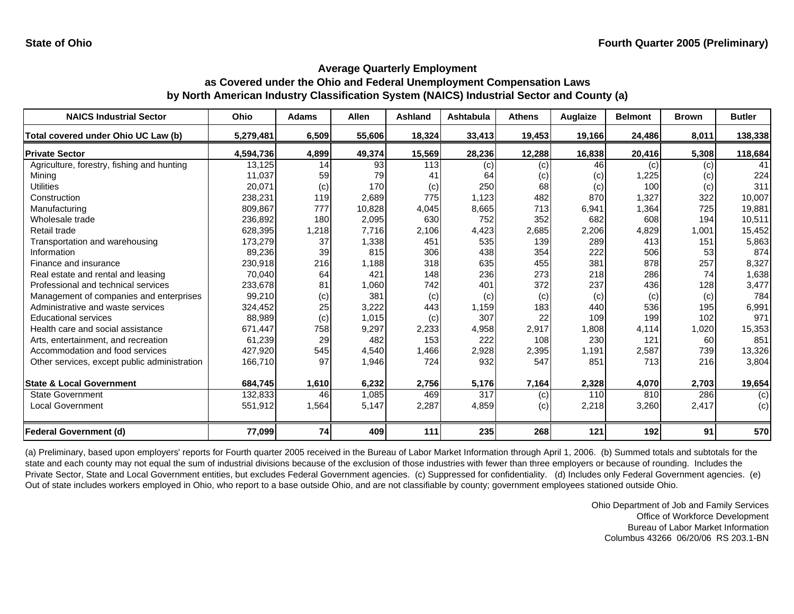| <b>NAICS Industrial Sector</b>               | Ohio      | <b>Adams</b> | <b>Allen</b> | <b>Ashland</b> | <b>Ashtabula</b> | <b>Athens</b> | Auglaize | <b>Belmont</b> | <b>Brown</b> | <b>Butler</b> |
|----------------------------------------------|-----------|--------------|--------------|----------------|------------------|---------------|----------|----------------|--------------|---------------|
| Total covered under Ohio UC Law (b)          | 5,279,481 | 6,509        | 55,606       | 18,324         | 33,413           | 19,453        | 19,166   | 24,486         | 8,011        | 138,338       |
| <b>Private Sector</b>                        | 4,594,736 | 4,899        | 49,374       | 15,569         | 28,236           | 12,288        | 16,838   | 20,416         | 5,308        | 118,684       |
| Agriculture, forestry, fishing and hunting   | 13,125    | 14           | 93           | 113            | (c)              | (c)           | 46       | (c)            | (c)          | 41            |
| Mining                                       | 11,037    | 59           | 79           | 41             | 64               | (c)           | (c)      | 1,225          | (c)          | 224           |
| <b>Utilities</b>                             | 20,071    | (c)          | 170          | (c)            | 250              | 68            | (c)      | 100            | (c)          | 311           |
| Construction                                 | 238,231   | 119          | 2,689        | 775            | 1,123            | 482           | 870      | 1,327          | 322          | 10,007        |
| Manufacturing                                | 809,867   | 777          | 10,828       | 4,045          | 8,665            | 713           | 6,941    | 1,364          | 725          | 19,881        |
| Wholesale trade                              | 236,892   | 180          | 2,095        | 630            | 752              | 352           | 682      | 608            | 194          | 10,511        |
| Retail trade                                 | 628,395   | 1,218        | 7,716        | 2,106          | 4,423            | 2,685         | 2,206    | 4,829          | 1,001        | 15,452        |
| Transportation and warehousing               | 173,279   | 37           | 1,338        | 451            | 535              | 139           | 289      | 413            | 151          | 5,863         |
| Information                                  | 89,236    | 39           | 815          | 306            | 438              | 354           | 222      | 506            | 53           | 874           |
| Finance and insurance                        | 230,918   | 216          | 1,188        | 318            | 635              | 455           | 381      | 878            | 257          | 8,327         |
| Real estate and rental and leasing           | 70,040    | 64           | 421          | 148            | 236              | 273           | 218      | 286            | 74           | 1,638         |
| Professional and technical services          | 233,678   | 81           | 1,060        | 742            | 401              | 372           | 237      | 436            | 128          | 3,477         |
| Management of companies and enterprises      | 99,210    | (c)          | 381          | (c)            | (c)              | (c)           | (c)      | (c)            | (c)          | 784           |
| Administrative and waste services            | 324,452   | 25           | 3,222        | 443            | 1,159            | 183           | 440      | 536            | 195          | 6,991         |
| <b>Educational services</b>                  | 88,989    | (c)          | 1,015        | (c)            | 307              | 22            | 109      | 199            | 102          | 971           |
| Health care and social assistance            | 671,447   | 758          | 9,297        | 2,233          | 4,958            | 2,917         | 1,808    | 4,114          | 1,020        | 15,353        |
| Arts, entertainment, and recreation          | 61,239    | 29           | 482          | 153            | 222              | 108           | 230      | 121            | 60           | 851           |
| Accommodation and food services              | 427,920   | 545          | 4,540        | 1,466          | 2,928            | 2,395         | 1,191    | 2,587          | 739          | 13,326        |
| Other services, except public administration | 166,710   | 97           | 1,946        | 724            | 932              | 547           | 851      | 713            | 216          | 3,804         |
| <b>State &amp; Local Government</b>          | 684,745   | 1,610        | 6,232        | 2,756          | 5,176            | 7,164         | 2,328    | 4,070          | 2,703        | 19,654        |
| <b>State Government</b>                      | 132,833   | 46           | 1,085        | 469            | 317              | (c)           | 110      | 810            | 286          | (c)           |
| <b>Local Government</b>                      | 551,912   | 1,564        | 5,147        | 2,287          | 4,859            | (c)           | 2,218    | 3,260          | 2,417        | (c)           |
| <b>Federal Government (d)</b>                | 77,099    | 74           | 409          | 111            | 235              | 268           | 121      | 192            | 91           | 570           |

(a) Preliminary, based upon employers' reports for Fourth quarter 2005 received in the Bureau of Labor Market Information through April 1, 2006. (b) Summed totals and subtotals for the state and each county may not equal the sum of industrial divisions because of the exclusion of those industries with fewer than three employers or because of rounding. Includes the Private Sector, State and Local Government entities, but excludes Federal Government agencies. (c) Suppressed for confidentiality. (d) Includes only Federal Government agencies. (e) Out of state includes workers employed in Ohio, who report to a base outside Ohio, and are not classifiable by county; government employees stationed outside Ohio.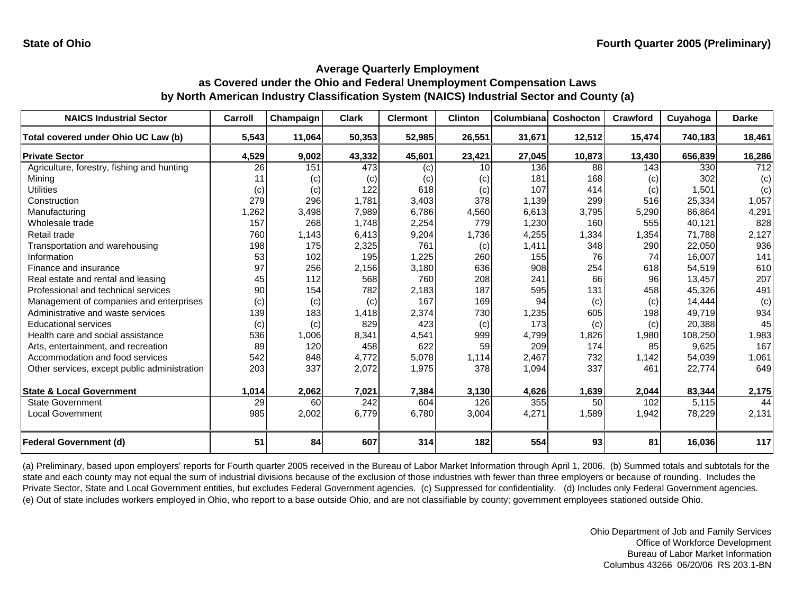| <b>NAICS Industrial Sector</b>               | Carroll | Champaign | <b>Clark</b> | <b>Clermont</b> | <b>Clinton</b> | Columbiana | Coshocton | Crawford | Cuyahoga | <b>Darke</b>     |
|----------------------------------------------|---------|-----------|--------------|-----------------|----------------|------------|-----------|----------|----------|------------------|
| Total covered under Ohio UC Law (b)          | 5,543   | 11,064    | 50,353       | 52,985          | 26,551         | 31,671     | 12,512    | 15,474   | 740,183  | 18,461           |
| <b>Private Sector</b>                        | 4,529   | 9,002     | 43,332       | 45,601          | 23,421         | 27,045     | 10,873    | 13,430   | 656,839  | 16,286           |
| Agriculture, forestry, fishing and hunting   | 26      | 151       | 473          | (c)             | 10             | 136        | 88        | 143      | 330      | $\overline{712}$ |
| Mining                                       |         | (c)       | (c)          | (c)             | (c)            | 181        | 168       | (c)      | 302      | (c)              |
| <b>Utilities</b>                             | (c)     | (c)       | 122          | 618             | (c)            | 107        | 414       | (c)      | 1,501    | (c)              |
| Construction                                 | 279     | 296       | 1,781        | 3,403           | 378            | 1,139      | 299       | 516      | 25,334   | 1,057            |
| Manufacturing                                | 1,262   | 3,498     | 7,989        | 6,786           | 4,560          | 6,613      | 3,795     | 5,290    | 86,864   | 4,291            |
| Wholesale trade                              | 157     | 268       | 1,748        | 2,254           | 779            | 1,230      | 160       | 555      | 40,121   | 828              |
| Retail trade                                 | 760     | 1,143     | 6,413        | 9,204           | 1,736          | 4,255      | 1,334     | 1,354    | 71,788   | 2,127            |
| Transportation and warehousing               | 198     | 175       | 2,325        | 761             | (c)            | 1,411      | 348       | 290      | 22,050   | 936              |
| Information                                  | 53      | 102       | 195          | 1,225           | 260            | 155        | 76        | 74       | 16,007   | 141              |
| Finance and insurance                        | 97      | 256       | 2,156        | 3,180           | 636            | 908        | 254       | 618      | 54,519   | 610              |
| Real estate and rental and leasing           | 45      | 112       | 568          | 760             | 208            | 241        | 66        | 96       | 13,457   | 207              |
| Professional and technical services          | 90      | 154       | 782          | 2,183           | 187            | 595        | 131       | 458      | 45,326   | 491              |
| Management of companies and enterprises      | (c)     | (c)       | (c)          | 167             | 169            | 94         | (c)       | (c)      | 14,444   | (c)              |
| Administrative and waste services            | 139     | 183       | 1,418        | 2,374           | 730            | 1,235      | 605       | 198      | 49.719   | 934              |
| <b>Educational services</b>                  | (c)     | (c)       | 829          | 423             | (c)            | 173        | (c)       | (c)      | 20,388   | 45               |
| Health care and social assistance            | 536     | 1,006     | 8.341        | 4.541           | 999            | 4,799      | 1,826     | 1,980    | 108,250  | 1,983            |
| Arts, entertainment, and recreation          | 89      | 120       | 458          | 622             | 59             | 209        | 174       | 85       | 9,625    | 167              |
| Accommodation and food services              | 542     | 848       | 4,772        | 5,078           | 1,114          | 2,467      | 732       | 1,142    | 54,039   | 1,061            |
| Other services, except public administration | 203     | 337       | 2,072        | 1,975           | 378            | 1,094      | 337       | 461      | 22,774   | 649              |
|                                              |         |           |              |                 |                |            |           |          |          |                  |
| <b>State &amp; Local Government</b>          | 1,014   | 2,062     | 7,021        | 7,384           | 3,130          | 4,626      | 1,639     | 2,044    | 83,344   | 2,175            |
| State Government                             | 29      | 60        | 242          | 604             | 126            | 355        | 50        | 102      | 5,115    | 44               |
| <b>Local Government</b>                      | 985     | 2,002     | 6,779        | 6,780           | 3,004          | 4,271      | 1,589     | 1,942    | 78,229   | 2,131            |
|                                              |         |           |              |                 |                |            |           |          |          |                  |
| <b>Federal Government (d)</b>                | 51      | 84        | 607          | 314             | 182            | 554        | 93        | 81       | 16,036   | 117              |

(a) Preliminary, based upon employers' reports for Fourth quarter 2005 received in the Bureau of Labor Market Information through April 1, 2006. (b) Summed totals and subtotals for the state and each county may not equal the sum of industrial divisions because of the exclusion of those industries with fewer than three employers or because of rounding. Includes the Private Sector, State and Local Government entities, but excludes Federal Government agencies. (c) Suppressed for confidentiality. (d) Includes only Federal Government agencies. (e) Out of state includes workers employed in Ohio, who report to a base outside Ohio, and are not classifiable by county; government employees stationed outside Ohio.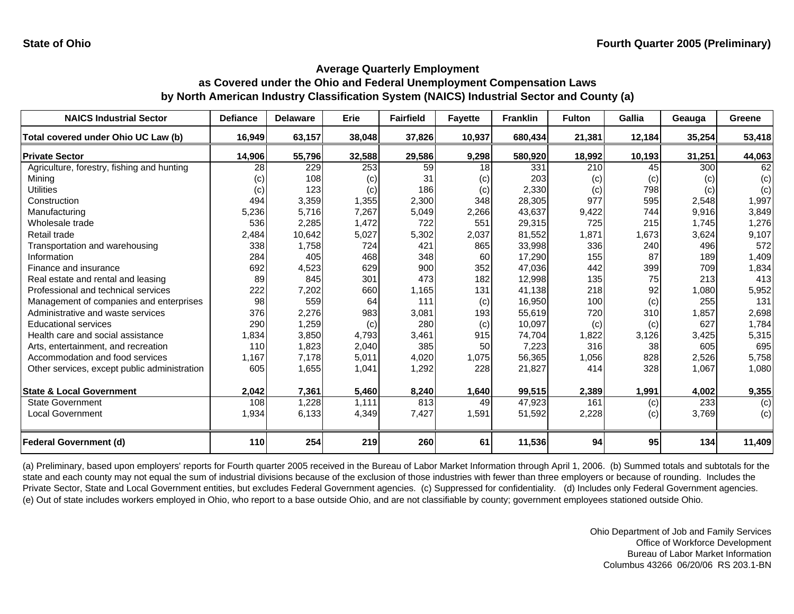| <b>NAICS Industrial Sector</b>               | <b>Defiance</b> | <b>Delaware</b> | Erie   | <b>Fairfield</b> | <b>Fayette</b> | <b>Franklin</b> | <b>Fulton</b> | Gallia | Geauga | Greene |
|----------------------------------------------|-----------------|-----------------|--------|------------------|----------------|-----------------|---------------|--------|--------|--------|
| Total covered under Ohio UC Law (b)          | 16,949          | 63,157          | 38,048 | 37,826           | 10,937         | 680,434         | 21,381        | 12,184 | 35,254 | 53,418 |
| <b>Private Sector</b>                        | 14,906          | 55,796          | 32,588 | 29,586           | 9,298          | 580,920         | 18,992        | 10,193 | 31,251 | 44,063 |
| Agriculture, forestry, fishing and hunting   | 28              | 229             | 253    | 59               | 18             | 331             | 210           | 45     | 300    | 62     |
| Mining                                       | $\left( $       | 108             | (c)    | 31               | (c)            | 203             | (c)           | (c)    | (c)    | (c)    |
| <b>Utilities</b>                             | (c)             | 123             | (c)    | 186              | (c)            | 2,330           | (c)           | 798    | (c)    | (c)    |
| Construction                                 | 494             | 3,359           | 1,355  | 2,300            | 348            | 28,305          | 977           | 595    | 2,548  | 1,997  |
| Manufacturing                                | 5,236           | 5,716           | 7,267  | 5,049            | 2,266          | 43,637          | 9,422         | 744    | 9,916  | 3,849  |
| Wholesale trade                              | 536             | 2,285           | 1,472  | 722              | 551            | 29,315          | 725           | 215    | 1,745  | 1,276  |
| Retail trade                                 | 2,484           | 10,642          | 5,027  | 5,302            | 2,037          | 81,552          | 1,871         | 1,673  | 3,624  | 9,107  |
| Transportation and warehousing               | 338             | 1,758           | 724    | 421              | 865            | 33,998          | 336           | 240    | 496    | 572    |
| Information                                  | 284             | 405             | 468    | 348              | 60             | 17,290          | 155           | 87     | 189    | 1,409  |
| Finance and insurance                        | 692             | 4,523           | 629    | 900              | 352            | 47,036          | 442           | 399    | 709    | 1,834  |
| Real estate and rental and leasing           | 89              | 845             | 301    | 473              | 182            | 12,998          | 135           | 75     | 213    | 413    |
| Professional and technical services          | 222             | 7,202           | 660    | 1,165            | 131            | 41,138          | 218           | 92     | 1,080  | 5,952  |
| Management of companies and enterprises      | 98              | 559             | 64     | 111              | (c)            | 16,950          | 100           | (c)    | 255    | 131    |
| Administrative and waste services            | 376             | 2,276           | 983    | 3,081            | 193            | 55,619          | 720           | 310    | 1,857  | 2,698  |
| <b>Educational services</b>                  | 290             | 1,259           | (c)    | 280              | (c)            | 10,097          | (c)           | (c)    | 627    | 1,784  |
| Health care and social assistance            | 1,834           | 3,850           | 4,793  | 3,461            | 915            | 74,704          | 1,822         | 3,126  | 3,425  | 5,315  |
| Arts, entertainment, and recreation          | 110             | 1,823           | 2,040  | 385              | 50             | 7,223           | 316           | 38     | 605    | 695    |
| Accommodation and food services              | 1,167           | 7,178           | 5,011  | 4,020            | 1,075          | 56,365          | 1,056         | 828    | 2,526  | 5,758  |
| Other services, except public administration | 605             | 1,655           | 1,041  | 1,292            | 228            | 21,827          | 414           | 328    | 1,067  | 1,080  |
|                                              |                 |                 |        |                  |                |                 |               |        |        |        |
| <b>State &amp; Local Government</b>          | 2,042           | 7,361           | 5,460  | 8,240            | 1,640          | 99,515          | 2,389         | 1,991  | 4,002  | 9,355  |
| <b>State Government</b>                      | 108             | 1,228           | 1,111  | 813              | 49             | 47,923          | 161           | (c)    | 233    | (c)    |
| <b>Local Government</b>                      | 1,934           | 6,133           | 4,349  | 7,427            | 1,591          | 51,592          | 2,228         | (c)    | 3,769  | (c)    |
| <b>Federal Government (d)</b>                | 110             | 254             | 219    | 260              | 61             | 11,536          | 94            | 95     | 134    | 11,409 |

(a) Preliminary, based upon employers' reports for Fourth quarter 2005 received in the Bureau of Labor Market Information through April 1, 2006. (b) Summed totals and subtotals for the state and each county may not equal the sum of industrial divisions because of the exclusion of those industries with fewer than three employers or because of rounding. Includes the Private Sector, State and Local Government entities, but excludes Federal Government agencies. (c) Suppressed for confidentiality. (d) Includes only Federal Government agencies. (e) Out of state includes workers employed in Ohio, who report to a base outside Ohio, and are not classifiable by county; government employees stationed outside Ohio.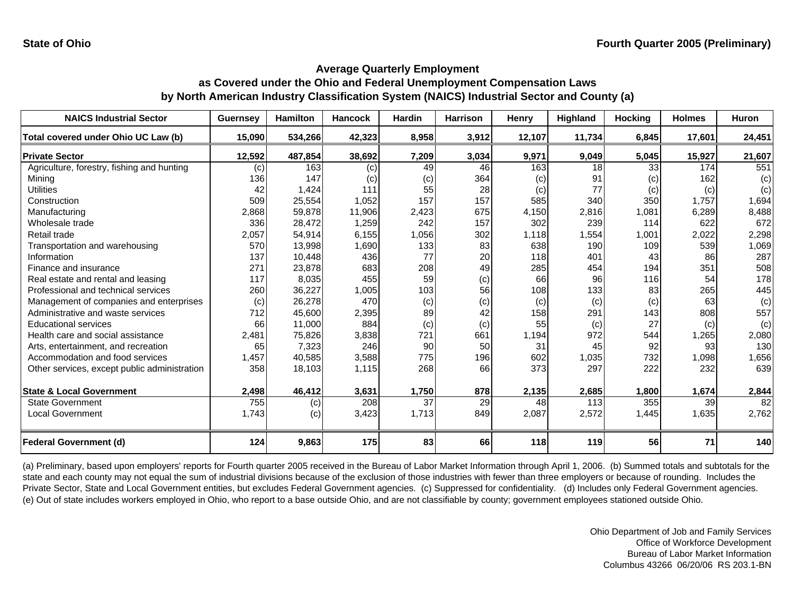| <b>NAICS Industrial Sector</b>               | <b>Guernsey</b> | <b>Hamilton</b> | <b>Hancock</b> | Hardin | <b>Harrison</b> | Henry  | Highland | <b>Hocking</b> | <b>Holmes</b> | <b>Huron</b> |
|----------------------------------------------|-----------------|-----------------|----------------|--------|-----------------|--------|----------|----------------|---------------|--------------|
| Total covered under Ohio UC Law (b)          | 15,090          | 534,266         | 42,323         | 8,958  | 3,912           | 12,107 | 11,734   | 6,845          | 17,601        | 24,451       |
| <b>Private Sector</b>                        | 12,592          | 487,854         | 38,692         | 7,209  | 3,034           | 9,971  | 9,049    | 5,045          | 15,927        | 21,607       |
| Agriculture, forestry, fishing and hunting   | (c)             | 163             | (c)            | 49     | 46              | 163    | 18       | 33             | 174           | 551          |
| Mining                                       | 136             | 147             | (c)            | (c)    | 364             | (c)    | 91       | (c)            | 162           | (c)          |
| <b>Utilities</b>                             | 42              | 1,424           | 111            | 55     | 28              | (c)    | 77       | (c)            | (c)           | (c)          |
| Construction                                 | 509             | 25,554          | 1,052          | 157    | 157             | 585    | 340      | 350            | 1,757         | 1,694        |
| Manufacturing                                | 2,868           | 59,878          | 11,906         | 2,423  | 675             | 4,150  | 2,816    | 1,081          | 6,289         | 8,488        |
| Wholesale trade                              | 336             | 28,472          | 1,259          | 242    | 157             | 302    | 239      | 114            | 622           | 672          |
| Retail trade                                 | 2,057           | 54,914          | 6,155          | 1,056  | 302             | 1,118  | 1,554    | 1,001          | 2,022         | 2,298        |
| Transportation and warehousing               | 570             | 13,998          | 1,690          | 133    | 83              | 638    | 190      | 109            | 539           | 1,069        |
| Information                                  | 137             | 10,448          | 436            | 77     | 20              | 118    | 401      | 43             | 86            | 287          |
| Finance and insurance                        | 271             | 23,878          | 683            | 208    | 49              | 285    | 454      | 194            | 351           | 508          |
| Real estate and rental and leasing           | 117             | 8,035           | 455            | 59     | (c)             | 66     | 96       | 116            | 54            | 178          |
| Professional and technical services          | 260             | 36,227          | 1,005          | 103    | 56              | 108    | 133      | 83             | 265           | 445          |
| Management of companies and enterprises      | (c)             | 26,278          | 470            | (c)    | (c)             | (c)    | (c)      | (c)            | 63            | (c)          |
| Administrative and waste services            | 712             | 45,600          | 2,395          | 89     | 42              | 158    | 291      | 143            | 808           | 557          |
| <b>Educational services</b>                  | 66              | 11,000          | 884            | (c)    | (c)             | 55     | (c)      | 27             | (c)           | (c)          |
| Health care and social assistance            | 2,481           | 75,826          | 3,838          | 721    | 661             | 1,194  | 972      | 544            | 1,265         | 2,080        |
| Arts, entertainment, and recreation          | 65              | 7,323           | 246            | 90     | 50              | 31     | 45       | 92             | 93            | 130          |
| Accommodation and food services              | 1,457           | 40,585          | 3,588          | 775    | 196             | 602    | 1,035    | 732            | 1,098         | 1,656        |
| Other services, except public administration | 358             | 18,103          | 1,115          | 268    | 66              | 373    | 297      | 222            | 232           | 639          |
|                                              |                 |                 |                |        |                 |        |          |                |               |              |
| <b>State &amp; Local Government</b>          | 2,498           | 46,412          | 3,631          | 1,750  | 878             | 2,135  | 2,685    | 1,800          | 1,674         | 2,844        |
| <b>State Government</b>                      | 755             | (c)             | 208            | 37     | 29              | 48     | 113      | 355            | 39            | 82           |
| <b>Local Government</b>                      | 1,743           | (c)             | 3,423          | 1,713  | 849             | 2,087  | 2,572    | 1,445          | 1,635         | 2,762        |
| <b>Federal Government (d)</b>                | 124             | 9,863           | 175            | 83     | 66              | 118    | 119      | 56             | 71            | 140          |

(a) Preliminary, based upon employers' reports for Fourth quarter 2005 received in the Bureau of Labor Market Information through April 1, 2006. (b) Summed totals and subtotals for the state and each county may not equal the sum of industrial divisions because of the exclusion of those industries with fewer than three employers or because of rounding. Includes the Private Sector, State and Local Government entities, but excludes Federal Government agencies. (c) Suppressed for confidentiality. (d) Includes only Federal Government agencies. (e) Out of state includes workers employed in Ohio, who report to a base outside Ohio, and are not classifiable by county; government employees stationed outside Ohio.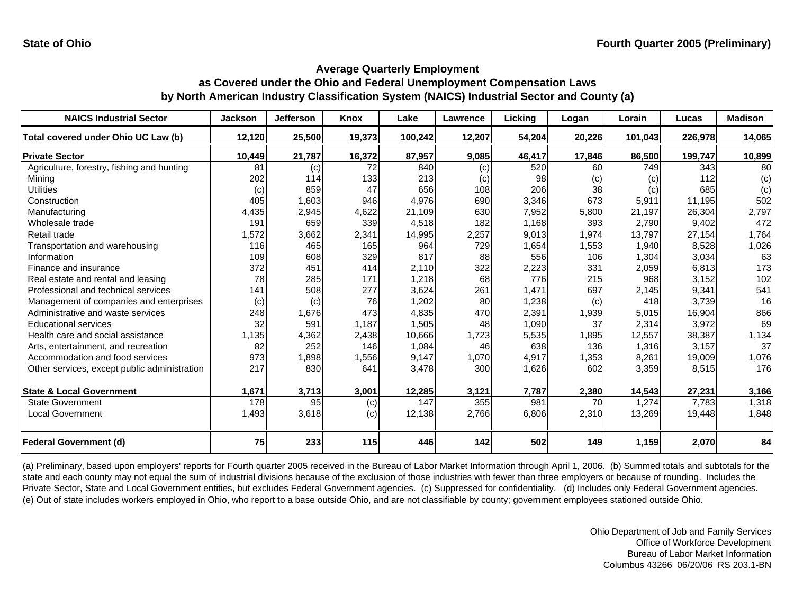| <b>NAICS Industrial Sector</b>               | <b>Jackson</b> | Jefferson | <b>Knox</b> | Lake    | <b>Lawrence</b> | Licking | Logan  | Lorain  | Lucas   | <b>Madison</b> |
|----------------------------------------------|----------------|-----------|-------------|---------|-----------------|---------|--------|---------|---------|----------------|
| Total covered under Ohio UC Law (b)          | 12,120         | 25,500    | 19,373      | 100,242 | 12,207          | 54,204  | 20,226 | 101,043 | 226,978 | 14,065         |
| <b>Private Sector</b>                        | 10,449         | 21,787    | 16,372      | 87,957  | 9,085           | 46,417  | 17,846 | 86,500  | 199,747 | 10,899         |
| Agriculture, forestry, fishing and hunting   | 81             | (c)       | 72          | 840     | (c)             | 520     | 60     | 749     | 343     | 80             |
| Mining                                       | 202            | 114       | 133         | 213     | (c)             | 98      | (c)    | (c)     | 112     | (c)            |
| <b>Utilities</b>                             | (c)            | 859       | 47          | 656     | 108             | 206     | 38     | (c)     | 685     | (c)            |
| Construction                                 | 405            | 1,603     | 946         | 4,976   | 690             | 3,346   | 673    | 5,911   | 11,195  | 502            |
| Manufacturing                                | 4,435          | 2,945     | 4,622       | 21,109  | 630             | 7,952   | 5,800  | 21,197  | 26,304  | 2,797          |
| Wholesale trade                              | 191            | 659       | 339         | 4,518   | 182             | 1,168   | 393    | 2,790   | 9,402   | 472            |
| Retail trade                                 | 1,572          | 3,662     | 2,341       | 14,995  | 2,257           | 9,013   | 1,974  | 13,797  | 27,154  | 1,764          |
| Transportation and warehousing               | 116            | 465       | 165         | 964     | 729             | 1,654   | 1,553  | 1,940   | 8,528   | 1,026          |
| Information                                  | 109            | 608       | 329         | 817     | 88              | 556     | 106    | 1,304   | 3,034   | 63             |
| Finance and insurance                        | 372            | 451       | 414         | 2,110   | 322             | 2,223   | 331    | 2,059   | 6,813   | 173            |
| Real estate and rental and leasing           | 78             | 285       | 171         | 1,218   | 68              | 776     | 215    | 968     | 3,152   | 102            |
| Professional and technical services          | 141            | 508       | 277         | 3,624   | 261             | 1,471   | 697    | 2,145   | 9,341   | 541            |
| Management of companies and enterprises      | (c)            | (c)       | 76          | 1,202   | 80              | 1,238   | (c)    | 418     | 3,739   | 16             |
| Administrative and waste services            | 248            | 1,676     | 473         | 4,835   | 470             | 2,391   | 1,939  | 5,015   | 16,904  | 866            |
| <b>Educational services</b>                  | 32             | 591       | 1,187       | 1,505   | 48              | 1,090   | 37     | 2,314   | 3,972   | 69             |
| Health care and social assistance            | 1,135          | 4,362     | 2,438       | 10,666  | 1,723           | 5,535   | 1,895  | 12,557  | 38,387  | 1,134          |
| Arts, entertainment, and recreation          | 82             | 252       | 146         | 1,084   | 46              | 638     | 136    | 1,316   | 3,157   | 37             |
| Accommodation and food services              | 973            | 1,898     | 1,556       | 9,147   | 1,070           | 4,917   | 1,353  | 8,261   | 19,009  | 1,076          |
| Other services, except public administration | 217            | 830       | 641         | 3,478   | 300             | 1,626   | 602    | 3,359   | 8,515   | 176            |
| <b>State &amp; Local Government</b>          | 1,671          | 3,713     | 3,001       | 12,285  | 3,121           | 7,787   | 2,380  | 14,543  | 27,231  | 3,166          |
| <b>State Government</b>                      | 178            | 95        |             | 147     | 355             | 981     | 70     | 1,274   | 7,783   | 1,318          |
|                                              |                |           | (c)         |         |                 |         |        |         |         |                |
| <b>Local Government</b>                      | 1,493          | 3,618     | (c)         | 12,138  | 2,766           | 6,806   | 2,310  | 13,269  | 19,448  | 1,848          |
| <b>Federal Government (d)</b>                | 75             | 233       | 115         | 446     | 142             | 502     | 149    | 1,159   | 2,070   | 84             |

(a) Preliminary, based upon employers' reports for Fourth quarter 2005 received in the Bureau of Labor Market Information through April 1, 2006. (b) Summed totals and subtotals for the state and each county may not equal the sum of industrial divisions because of the exclusion of those industries with fewer than three employers or because of rounding. Includes the Private Sector, State and Local Government entities, but excludes Federal Government agencies. (c) Suppressed for confidentiality. (d) Includes only Federal Government agencies. (e) Out of state includes workers employed in Ohio, who report to a base outside Ohio, and are not classifiable by county; government employees stationed outside Ohio.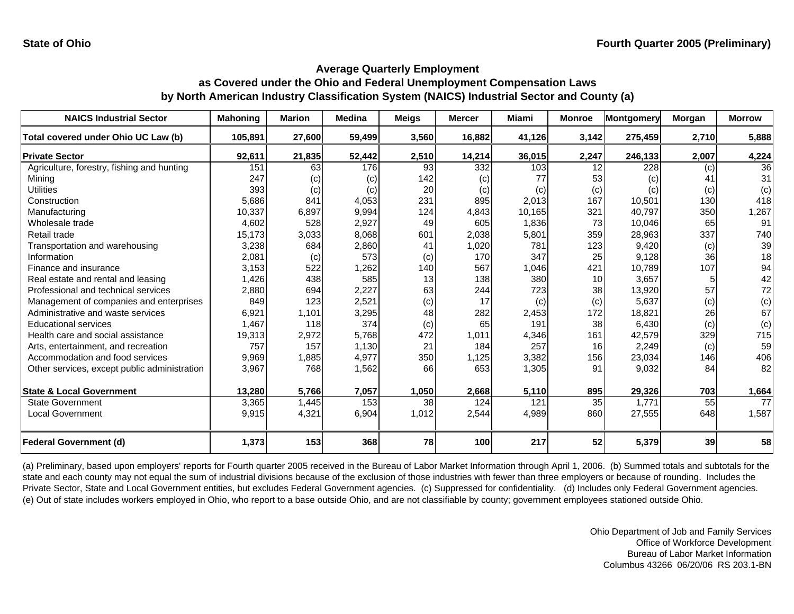| <b>NAICS Industrial Sector</b>               | <b>Mahoning</b> | <b>Marion</b> | <b>Medina</b> | <b>Meigs</b> | <b>Mercer</b> | <b>Miami</b> | <b>Monroe</b>   | Montgomery | Morgan | <b>Morrow</b>   |
|----------------------------------------------|-----------------|---------------|---------------|--------------|---------------|--------------|-----------------|------------|--------|-----------------|
| Total covered under Ohio UC Law (b)          | 105,891         | 27,600        | 59,499        | 3,560        | 16,882        | 41,126       | 3,142           | 275,459    | 2,710  | 5,888           |
| <b>Private Sector</b>                        | 92,611          | 21,835        | 52,442        | 2,510        | 14,214        | 36,015       | 2,247           | 246,133    | 2,007  | 4,224           |
| Agriculture, forestry, fishing and hunting   | 151             | 63            | 176           | 93           | 332           | 103          | 12              | 228        | (c)    | 36              |
| Mining                                       | 247             | (c)           | (c)           | 142          | (c)           | 77           | 53              | (c)        | 41     | 31              |
| <b>Utilities</b>                             | 393             | (c)           | (c)           | 20           | (c)           | (c)          | (c)             | (c)        | (c)    | (c)             |
| Construction                                 | 5,686           | 841           | 4,053         | 231          | 895           | 2,013        | 167             | 10,501     | 130    | 418             |
| Manufacturing                                | 10,337          | 6,897         | 9,994         | 124          | 4,843         | 10,165       | 321             | 40,797     | 350    | 1,267           |
| Wholesale trade                              | 4,602           | 528           | 2,927         | 49           | 605           | 1,836        | 73              | 10,046     | 65     | 91              |
| Retail trade                                 | 15,173          | 3,033         | 8,068         | 601          | 2,038         | 5,801        | 359             | 28,963     | 337    | 740             |
| Transportation and warehousing               | 3,238           | 684           | 2,860         | 41           | 1,020         | 781          | 123             | 9,420      | (c)    | 39              |
| Information                                  | 2,081           | (c)           | 573           | (c)          | 170           | 347          | 25              | 9,128      | 36     | 18              |
| Finance and insurance                        | 3,153           | 522           | 1,262         | 140          | 567           | 1,046        | 421             | 10,789     | 107    | 94              |
| Real estate and rental and leasing           | 1,426           | 438           | 585           | 13           | 138           | 380          | 10 <sup>1</sup> | 3,657      |        | 42              |
| Professional and technical services          | 2,880           | 694           | 2,227         | 63           | 244           | 723          | 38              | 13,920     | 57     | 72              |
| Management of companies and enterprises      | 849             | 123           | 2,521         | (c)          | 17            | (c)          | (c)             | 5,637      | (c)    | (c)             |
| Administrative and waste services            | 6,921           | 1,101         | 3,295         | 48           | 282           | 2,453        | 172             | 18,821     | 26     | 67              |
| <b>Educational services</b>                  | 1,467           | 118           | 374           | (c)          | 65            | 191          | 38              | 6,430      | (c)    | (c)             |
| Health care and social assistance            | 19,313          | 2,972         | 5,768         | 472          | 1,011         | 4,346        | 161             | 42,579     | 329    | 715             |
| Arts, entertainment, and recreation          | 757             | 157           | 1,130         | 21           | 184           | 257          | 16              | 2,249      | (c)    | 59              |
| Accommodation and food services              | 9,969           | 1,885         | 4,977         | 350          | 1,125         | 3,382        | 156             | 23,034     | 146    | 406             |
| Other services, except public administration | 3,967           | 768           | 1,562         | 66           | 653           | 1,305        | 91              | 9,032      | 84     | 82              |
|                                              |                 |               |               |              |               |              |                 |            |        |                 |
| <b>State &amp; Local Government</b>          | 13,280          | 5,766         | 7,057         | 1,050        | 2,668         | 5,110        | 895             | 29,326     | 703    | 1,664           |
| <b>State Government</b>                      | 3,365           | 1,445         | 153           | 38           | 124           | 121          | 35              | 1,771      | 55     | $\overline{77}$ |
| <b>Local Government</b>                      | 9,915           | 4,321         | 6,904         | 1,012        | 2,544         | 4,989        | 860             | 27,555     | 648    | 1,587           |
| <b>Federal Government (d)</b>                | 1,373           | 153           | 368           | 78           | 100           | 217          | 52              | 5,379      | 39     | 58              |

(a) Preliminary, based upon employers' reports for Fourth quarter 2005 received in the Bureau of Labor Market Information through April 1, 2006. (b) Summed totals and subtotals for the state and each county may not equal the sum of industrial divisions because of the exclusion of those industries with fewer than three employers or because of rounding. Includes the Private Sector, State and Local Government entities, but excludes Federal Government agencies. (c) Suppressed for confidentiality. (d) Includes only Federal Government agencies. (e) Out of state includes workers employed in Ohio, who report to a base outside Ohio, and are not classifiable by county; government employees stationed outside Ohio.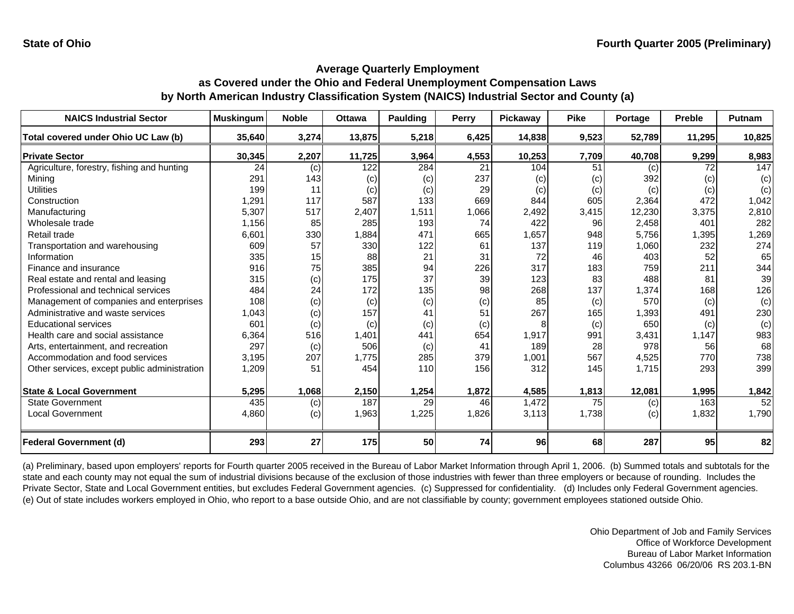| <b>NAICS Industrial Sector</b>               | <b>Muskingum</b> | <b>Noble</b> | <b>Ottawa</b> | <b>Paulding</b> | Perry | Pickaway | <b>Pike</b> | Portage | Preble | Putnam |
|----------------------------------------------|------------------|--------------|---------------|-----------------|-------|----------|-------------|---------|--------|--------|
| Total covered under Ohio UC Law (b)          | 35,640           | 3,274        | 13,875        | 5,218           | 6,425 | 14,838   | 9,523       | 52,789  | 11,295 | 10,825 |
| <b>Private Sector</b>                        | 30,345           | 2,207        | 11,725        | 3,964           | 4,553 | 10,253   | 7,709       | 40,708  | 9,299  | 8,983  |
| Agriculture, forestry, fishing and hunting   | 24               | (c)          | 122           | 284             | 21    | 104      | 51          | (c)     | 72     | 147    |
| Mining                                       | 291              | 143          | (c)           | (c)             | 237   | (c)      | (c)         | 392     | (c)    | (c)    |
| <b>Utilities</b>                             | 199              | 11           | (c)           | (c)             | 29    | (c)      | (c)         | (c)     | (c)    | (c)    |
| Construction                                 | 1,291            | 117          | 587           | 133             | 669   | 844      | 605         | 2,364   | 472    | 1,042  |
| Manufacturing                                | 5,307            | 517          | 2,407         | 1,511           | 1,066 | 2,492    | 3,415       | 12,230  | 3,375  | 2,810  |
| Wholesale trade                              | 1,156            | 85           | 285           | 193             | 74    | 422      | 96          | 2,458   | 401    | 282    |
| Retail trade                                 | 6,601            | 330          | 1,884         | 471             | 665   | 1,657    | 948         | 5,756   | 1,395  | 1,269  |
| Transportation and warehousing               | 609              | 57           | 330           | 122             | 61    | 137      | 119         | 1,060   | 232    | 274    |
| Information                                  | 335              | 15           | 88            | 21              | 31    | 72       | 46          | 403     | 52     | 65     |
| Finance and insurance                        | 916              | 75           | 385           | 94              | 226   | 317      | 183         | 759     | 211    | 344    |
| Real estate and rental and leasing           | 315              | (c)          | 175           | 37              | 39    | 123      | 83          | 488     | 81     | 39     |
| Professional and technical services          | 484              | 24           | 172           | 135             | 98    | 268      | 137         | 1,374   | 168    | 126    |
| Management of companies and enterprises      | 108              | (c)          | (c)           | (c)             | (c)   | 85       | (c)         | 570     | (c)    | (c)    |
| Administrative and waste services            | 1,043            | (c)          | 157           | 41              | 51    | 267      | 165         | 1,393   | 491    | 230    |
| <b>Educational services</b>                  | 601              | (c)          | (c)           | (c)             | (c)   |          | (c)         | 650     | (c)    | (c)    |
| Health care and social assistance            | 6,364            | 516          | 1,401         | 441             | 654   | 1,917    | 991         | 3,431   | 1,147  | 983    |
| Arts, entertainment, and recreation          | 297              | (c)          | 506           | (c)             | 41    | 189      | 28          | 978     | 56     | 68     |
| Accommodation and food services              | 3,195            | 207          | 1,775         | 285             | 379   | 1,001    | 567         | 4,525   | 770    | 738    |
| Other services, except public administration | 1,209            | 51           | 454           | 110             | 156   | 312      | 145         | 1,715   | 293    | 399    |
|                                              |                  |              |               |                 |       |          |             |         |        |        |
| <b>State &amp; Local Government</b>          | 5,295            | 1,068        | 2,150         | 1,254           | 1,872 | 4,585    | 1,813       | 12,081  | 1,995  | 1,842  |
| <b>State Government</b>                      | 435              | (c)          | 187           | 29              | 46    | 1,472    | 75          | (c)     | 163    | 52     |
| <b>Local Government</b>                      | 4,860            | (c)          | 1,963         | 1,225           | 1,826 | 3,113    | 1,738       | (c)     | 1,832  | 1,790  |
| <b>Federal Government (d)</b>                | 293              | 27           | 175           | 50              | 74    | 96       | 68          | 287     | 95     | 82     |

(a) Preliminary, based upon employers' reports for Fourth quarter 2005 received in the Bureau of Labor Market Information through April 1, 2006. (b) Summed totals and subtotals for the state and each county may not equal the sum of industrial divisions because of the exclusion of those industries with fewer than three employers or because of rounding. Includes the Private Sector, State and Local Government entities, but excludes Federal Government agencies. (c) Suppressed for confidentiality. (d) Includes only Federal Government agencies. (e) Out of state includes workers employed in Ohio, who report to a base outside Ohio, and are not classifiable by county; government employees stationed outside Ohio.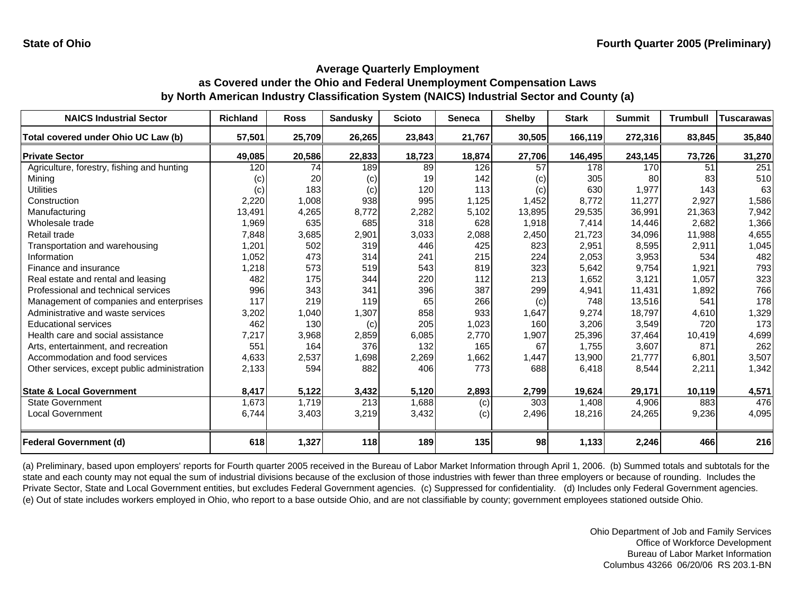| <b>NAICS Industrial Sector</b>               | <b>Richland</b> | <b>Ross</b> | <b>Sandusky</b> | <b>Scioto</b> | Seneca | <b>Shelby</b> | <b>Stark</b> | <b>Summit</b> | <b>Trumbull</b> | <b>Tuscarawas</b> |
|----------------------------------------------|-----------------|-------------|-----------------|---------------|--------|---------------|--------------|---------------|-----------------|-------------------|
| Total covered under Ohio UC Law (b)          | 57,501          | 25,709      | 26,265          | 23,843        | 21,767 | 30,505        | 166,119      | 272,316       | 83,845          | 35,840            |
| <b>Private Sector</b>                        | 49,085          | 20,586      | 22,833          | 18,723        | 18,874 | 27,706        | 146,495      | 243,145       | 73,726          | 31,270            |
| Agriculture, forestry, fishing and hunting   | 120             | 74          | 189             | 89            | 126    | 57            | 178          | 170           | 51              | 251               |
| Mining                                       | (c)             | 20          | (c)             | 19            | 142    | (c)           | 305          | 80            | 83              | 510               |
| <b>Utilities</b>                             | (c)             | 183         | (c)             | 120           | 113    | (c)           | 630          | 1,977         | 143             | 63                |
| Construction                                 | 2,220           | 1,008       | 938             | 995           | 1,125  | 1,452         | 8,772        | 11,277        | 2,927           | 1,586             |
| Manufacturing                                | 13,491          | 4,265       | 8,772           | 2,282         | 5,102  | 13,895        | 29,535       | 36,991        | 21,363          | 7,942             |
| Wholesale trade                              | 1,969           | 635         | 685             | 318           | 628    | 1,918         | 7,414        | 14,446        | 2,682           | 1,366             |
| Retail trade                                 | 7,848           | 3,685       | 2,901           | 3,033         | 2,088  | 2,450         | 21,723       | 34,096        | 11,988          | 4,655             |
| Transportation and warehousing               | 1,201           | 502         | 319             | 446           | 425    | 823           | 2,951        | 8,595         | 2,911           | 1,045             |
| Information                                  | 1,052           | 473         | 314             | 241           | 215    | 224           | 2,053        | 3,953         | 534             | 482               |
| Finance and insurance                        | 1,218           | 573         | 519             | 543           | 819    | 323           | 5,642        | 9,754         | 1,921           | 793               |
| Real estate and rental and leasing           | 482             | 175         | 344             | 220           | 112    | 213           | 1,652        | 3,121         | 1,057           | 323               |
| Professional and technical services          | 996             | 343         | 341             | 396           | 387    | 299           | 4,941        | 11,431        | 1,892           | 766               |
| Management of companies and enterprises      | 117             | 219         | 119             | 65            | 266    | (c)           | 748          | 13,516        | 541             | 178               |
| Administrative and waste services            | 3,202           | 1,040       | 1,307           | 858           | 933    | 1,647         | 9,274        | 18,797        | 4,610           | 1,329             |
| <b>Educational services</b>                  | 462             | 130         | (c)             | 205           | 1,023  | 160           | 3,206        | 3,549         | 720             | 173               |
| Health care and social assistance            | 7,217           | 3,968       | 2,859           | 6,085         | 2,770  | 1,907         | 25,396       | 37,464        | 10,419          | 4,699             |
| Arts, entertainment, and recreation          | 551             | 164         | 376             | 132           | 165    | 67            | 1,755        | 3,607         | 871             | 262               |
| Accommodation and food services              | 4,633           | 2,537       | 1,698           | 2,269         | 1,662  | 1,447         | 13,900       | 21,777        | 6,801           | 3,507             |
| Other services, except public administration | 2,133           | 594         | 882             | 406           | 773    | 688           | 6,418        | 8,544         | 2,211           | 1,342             |
| <b>State &amp; Local Government</b>          | 8,417           | 5,122       | 3,432           | 5,120         | 2,893  | 2,799         | 19,624       | 29,171        | 10,119          | 4,571             |
| <b>State Government</b>                      | 1,673           | 1,719       | 213             | 1,688         | (c)    | 303           | 1,408        | 4,906         | 883             | 476               |
| <b>Local Government</b>                      | 6,744           | 3,403       | 3,219           | 3,432         | (c)    | 2,496         | 18,216       | 24,265        | 9,236           | 4,095             |
| <b>Federal Government (d)</b>                | 618             | 1,327       | 118             | 189           | 135    | 98            | 1,133        | 2,246         | 466             | 216               |

(a) Preliminary, based upon employers' reports for Fourth quarter 2005 received in the Bureau of Labor Market Information through April 1, 2006. (b) Summed totals and subtotals for the state and each county may not equal the sum of industrial divisions because of the exclusion of those industries with fewer than three employers or because of rounding. Includes the Private Sector, State and Local Government entities, but excludes Federal Government agencies. (c) Suppressed for confidentiality. (d) Includes only Federal Government agencies. (e) Out of state includes workers employed in Ohio, who report to a base outside Ohio, and are not classifiable by county; government employees stationed outside Ohio.